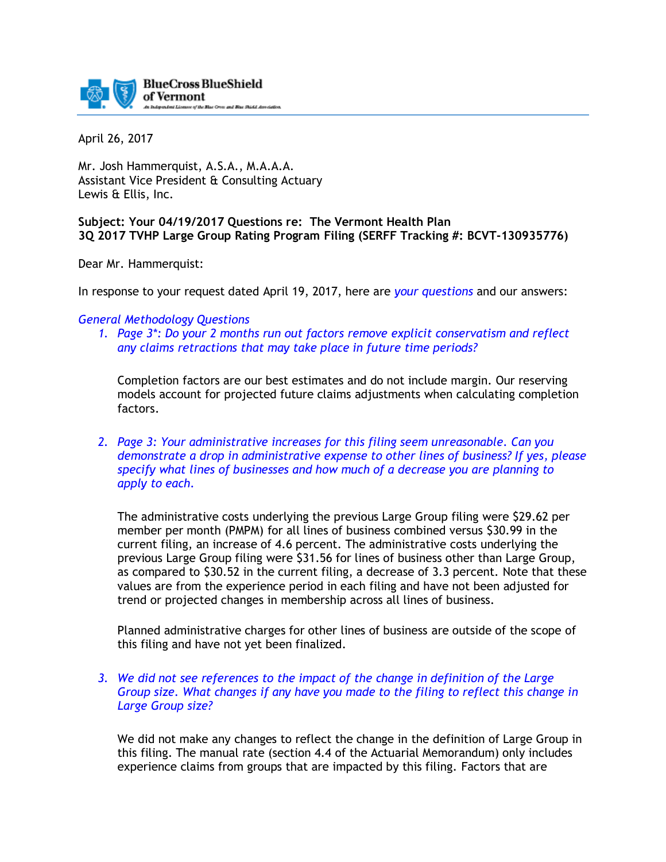

April 26, 2017

Mr. Josh Hammerquist, A.S.A., M.A.A.A. Assistant Vice President & Consulting Actuary Lewis & Ellis, Inc.

# **Subject: Your 04/19/2017 Questions re: The Vermont Health Plan 3Q 2017 TVHP Large Group Rating Program Filing (SERFF Tracking #: BCVT-130935776)**

Dear Mr. Hammerquist:

In response to your request dated April 19, 2017, here are *your questions* and our answers:

#### *General Methodology Questions*

*1. Page 3\*: Do your 2 months run out factors remove explicit conservatism and reflect any claims retractions that may take place in future time periods?* 

Completion factors are our best estimates and do not include margin. Our reserving models account for projected future claims adjustments when calculating completion factors.

*2. Page 3: Your administrative increases for this filing seem unreasonable. Can you demonstrate a drop in administrative expense to other lines of business? If yes, please specify what lines of businesses and how much of a decrease you are planning to apply to each.*

The administrative costs underlying the previous Large Group filing were \$29.62 per member per month (PMPM) for all lines of business combined versus \$30.99 in the current filing, an increase of 4.6 percent. The administrative costs underlying the previous Large Group filing were \$31.56 for lines of business other than Large Group, as compared to \$30.52 in the current filing, a decrease of 3.3 percent. Note that these values are from the experience period in each filing and have not been adjusted for trend or projected changes in membership across all lines of business.

Planned administrative charges for other lines of business are outside of the scope of this filing and have not yet been finalized.

*3. We did not see references to the impact of the change in definition of the Large Group size. What changes if any have you made to the filing to reflect this change in Large Group size?*

We did not make any changes to reflect the change in the definition of Large Group in this filing. The manual rate (section 4.4 of the Actuarial Memorandum) only includes experience claims from groups that are impacted by this filing. Factors that are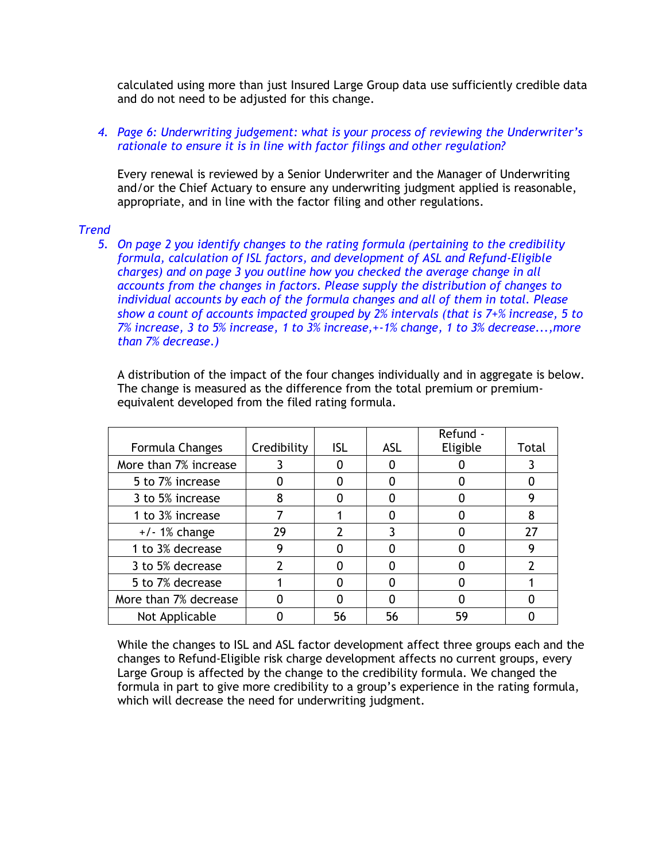calculated using more than just Insured Large Group data use sufficiently credible data and do not need to be adjusted for this change.

# *4. Page 6: Underwriting judgement: what is your process of reviewing the Underwriter's rationale to ensure it is in line with factor filings and other regulation?*

Every renewal is reviewed by a Senior Underwriter and the Manager of Underwriting and/or the Chief Actuary to ensure any underwriting judgment applied is reasonable, appropriate, and in line with the factor filing and other regulations.

# *Trend*

*5. On page 2 you identify changes to the rating formula (pertaining to the credibility formula, calculation of ISL factors, and development of ASL and Refund-Eligible charges) and on page 3 you outline how you checked the average change in all accounts from the changes in factors. Please supply the distribution of changes to individual accounts by each of the formula changes and all of them in total. Please show a count of accounts impacted grouped by 2% intervals (that is 7+% increase, 5 to 7% increase, 3 to 5% increase, 1 to 3% increase,+-1% change, 1 to 3% decrease...,more than 7% decrease.)* 

A distribution of the impact of the four changes individually and in aggregate is below. The change is measured as the difference from the total premium or premiumequivalent developed from the filed rating formula.

|                       |             |            |     | Refund - |       |
|-----------------------|-------------|------------|-----|----------|-------|
| Formula Changes       | Credibility | <b>ISL</b> | ASL | Eligible | Total |
| More than 7% increase |             |            |     |          |       |
| 5 to 7% increase      |             |            |     |          |       |
| 3 to 5% increase      | 8           |            |     |          |       |
| 1 to 3% increase      |             |            |     |          | 8     |
| $+/-1\%$ change       | 29          |            |     |          | 27    |
| 1 to 3% decrease      | 9           |            |     |          | 9     |
| 3 to 5% decrease      |             |            |     |          |       |
| 5 to 7% decrease      |             |            |     |          |       |
| More than 7% decrease |             |            |     |          |       |
| Not Applicable        |             | 56         | 56  | 59       |       |

While the changes to ISL and ASL factor development affect three groups each and the changes to Refund-Eligible risk charge development affects no current groups, every Large Group is affected by the change to the credibility formula. We changed the formula in part to give more credibility to a group's experience in the rating formula, which will decrease the need for underwriting judgment.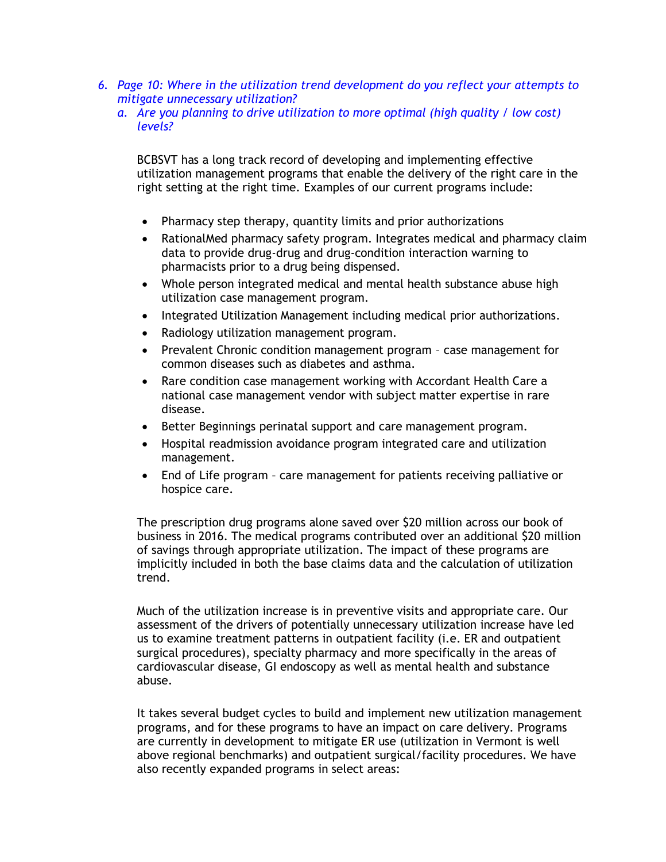- *6. Page 10: Where in the utilization trend development do you reflect your attempts to mitigate unnecessary utilization?* 
	- *a. Are you planning to drive utilization to more optimal (high quality / low cost) levels?*

BCBSVT has a long track record of developing and implementing effective utilization management programs that enable the delivery of the right care in the right setting at the right time. Examples of our current programs include:

- Pharmacy step therapy, quantity limits and prior authorizations
- RationalMed pharmacy safety program. Integrates medical and pharmacy claim data to provide drug-drug and drug-condition interaction warning to pharmacists prior to a drug being dispensed.
- Whole person integrated medical and mental health substance abuse high utilization case management program.
- Integrated Utilization Management including medical prior authorizations.
- Radiology utilization management program.
- Prevalent Chronic condition management program case management for common diseases such as diabetes and asthma.
- Rare condition case management working with Accordant Health Care a national case management vendor with subject matter expertise in rare disease.
- **Better Beginnings perinatal support and care management program.**
- Hospital readmission avoidance program integrated care and utilization management.
- End of Life program care management for patients receiving palliative or hospice care.

The prescription drug programs alone saved over \$20 million across our book of business in 2016. The medical programs contributed over an additional \$20 million of savings through appropriate utilization. The impact of these programs are implicitly included in both the base claims data and the calculation of utilization trend.

Much of the utilization increase is in preventive visits and appropriate care. Our assessment of the drivers of potentially unnecessary utilization increase have led us to examine treatment patterns in outpatient facility (i.e. ER and outpatient surgical procedures), specialty pharmacy and more specifically in the areas of cardiovascular disease, GI endoscopy as well as mental health and substance abuse.

It takes several budget cycles to build and implement new utilization management programs, and for these programs to have an impact on care delivery. Programs are currently in development to mitigate ER use (utilization in Vermont is well above regional benchmarks) and outpatient surgical/facility procedures. We have also recently expanded programs in select areas: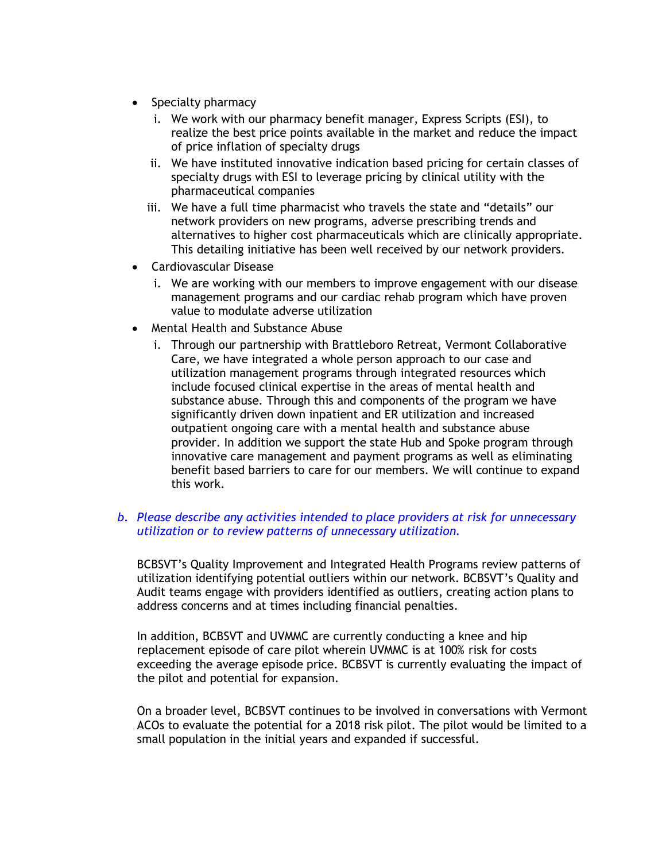- Specialty pharmacy
	- i. We work with our pharmacy benefit manager, Express Scripts (ESI), to realize the best price points available in the market and reduce the impact of price inflation of specialty drugs
	- ii. We have instituted innovative indication based pricing for certain classes of specialty drugs with ESI to leverage pricing by clinical utility with the pharmaceutical companies
	- iii. We have a full time pharmacist who travels the state and "details" our network providers on new programs, adverse prescribing trends and alternatives to higher cost pharmaceuticals which are clinically appropriate. This detailing initiative has been well received by our network providers.
- Cardiovascular Disease
	- i. We are working with our members to improve engagement with our disease management programs and our cardiac rehab program which have proven value to modulate adverse utilization
- Mental Health and Substance Abuse
	- i. Through our partnership with Brattleboro Retreat, Vermont Collaborative Care, we have integrated a whole person approach to our case and utilization management programs through integrated resources which include focused clinical expertise in the areas of mental health and substance abuse. Through this and components of the program we have significantly driven down inpatient and ER utilization and increased outpatient ongoing care with a mental health and substance abuse provider. In addition we support the state Hub and Spoke program through innovative care management and payment programs as well as eliminating benefit based barriers to care for our members. We will continue to expand this work.

# *b. Please describe any activities intended to place providers at risk for unnecessary utilization or to review patterns of unnecessary utilization.*

BCBSVT's Quality Improvement and Integrated Health Programs review patterns of utilization identifying potential outliers within our network. BCBSVT's Quality and Audit teams engage with providers identified as outliers, creating action plans to address concerns and at times including financial penalties.

In addition, BCBSVT and UVMMC are currently conducting a knee and hip replacement episode of care pilot wherein UVMMC is at 100% risk for costs exceeding the average episode price. BCBSVT is currently evaluating the impact of the pilot and potential for expansion.

On a broader level, BCBSVT continues to be involved in conversations with Vermont ACOs to evaluate the potential for a 2018 risk pilot. The pilot would be limited to a small population in the initial years and expanded if successful.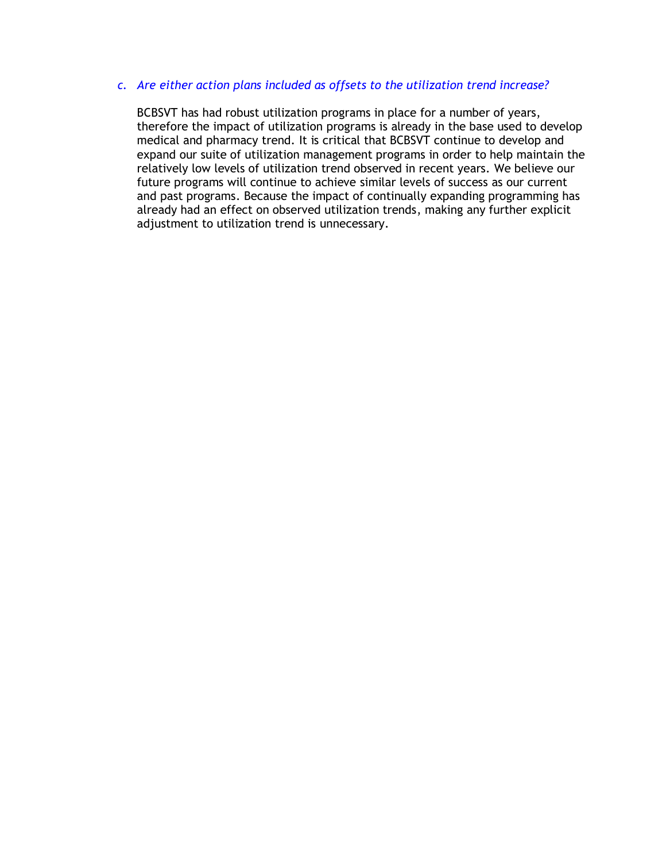# *c. Are either action plans included as offsets to the utilization trend increase?*

BCBSVT has had robust utilization programs in place for a number of years, therefore the impact of utilization programs is already in the base used to develop medical and pharmacy trend. It is critical that BCBSVT continue to develop and expand our suite of utilization management programs in order to help maintain the relatively low levels of utilization trend observed in recent years. We believe our future programs will continue to achieve similar levels of success as our current and past programs. Because the impact of continually expanding programming has already had an effect on observed utilization trends, making any further explicit adjustment to utilization trend is unnecessary.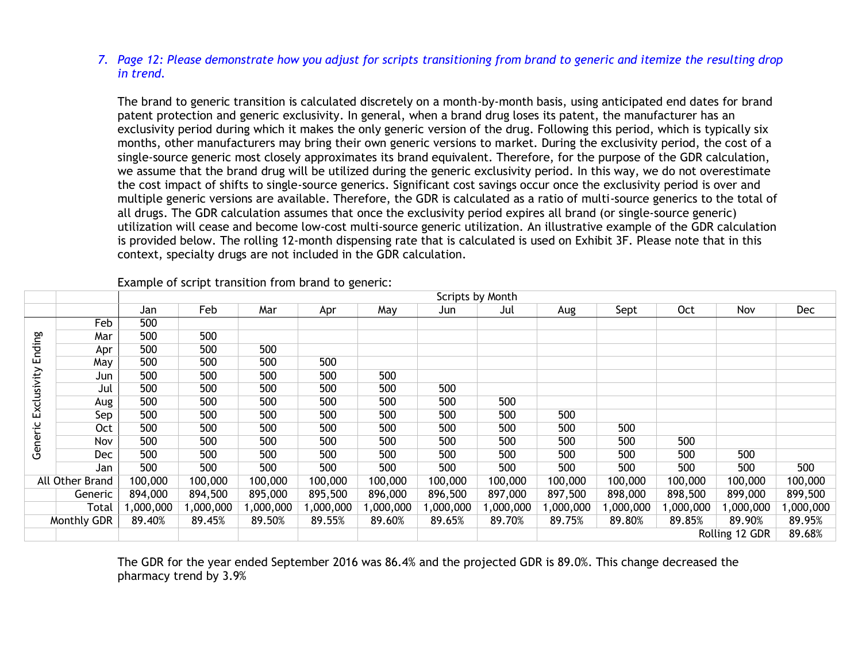# *7. Page 12: Please demonstrate how you adjust for scripts transitioning from brand to generic and itemize the resulting drop in trend.*

The brand to generic transition is calculated discretely on a month-by-month basis, using anticipated end dates for brand patent protection and generic exclusivity. In general, when a brand drug loses its patent, the manufacturer has an exclusivity period during which it makes the only generic version of the drug. Following this period, which is typically six months, other manufacturers may bring their own generic versions to market. During the exclusivity period, the cost of a single-source generic most closely approximates its brand equivalent. Therefore, for the purpose of the GDR calculation, we assume that the brand drug will be utilized during the generic exclusivity period. In this way, we do not overestimate the cost impact of shifts to single-source generics. Significant cost savings occur once the exclusivity period is over and multiple generic versions are available. Therefore, the GDR is calculated as a ratio of multi-source generics to the total of all drugs. The GDR calculation assumes that once the exclusivity period expires all brand (or single-source generic) utilization will cease and become low-cost multi-source generic utilization. An illustrative example of the GDR calculation is provided below. The rolling 12-month dispensing rate that is calculated is used on Exhibit 3F. Please note that in this context, specialty drugs are not included in the GDR calculation.

|             |                                                                                                                 | Scripts by Month |           |          |           |          |           |           |           |           |            |                |            |
|-------------|-----------------------------------------------------------------------------------------------------------------|------------------|-----------|----------|-----------|----------|-----------|-----------|-----------|-----------|------------|----------------|------------|
|             |                                                                                                                 | Jan              | Feb       | Mar      | Apr       | May      | Jun       | Jul       | Aug       | Sept      | <b>Oct</b> | Nov            | <b>Dec</b> |
| Ending      | Feb                                                                                                             | 500              |           |          |           |          |           |           |           |           |            |                |            |
|             | Mar                                                                                                             | 500              | 500       |          |           |          |           |           |           |           |            |                |            |
|             | Apr                                                                                                             | 500              | 500       | 500      |           |          |           |           |           |           |            |                |            |
|             | May                                                                                                             | 500              | 500       | 500      | 500       |          |           |           |           |           |            |                |            |
|             | Jun                                                                                                             | 500              | 500       | 500      | 500       | 500      |           |           |           |           |            |                |            |
| Exclusivity | Jul                                                                                                             | 500              | 500       | 500      | 500       | 500      | 500       |           |           |           |            |                |            |
|             | Aug                                                                                                             | 500              | 500       | 500      | 500       | 500      | 500       | 500       |           |           |            |                |            |
|             | Sep                                                                                                             | 500              | 500       | 500      | 500       | 500      | 500       | 500       | 500       |           |            |                |            |
| Generic     | <b>Oct</b>                                                                                                      | 500              | 500       | 500      | 500       | 500      | 500       | 500       | 500       | 500       |            |                |            |
|             | Nov                                                                                                             | 500              | 500       | 500      | 500       | 500      | 500       | 500       | 500       | 500       | 500        |                |            |
|             | Dec                                                                                                             | 500              | 500       | 500      | 500       | 500      | 500       | 500       | 500       | 500       | 500        | 500            |            |
|             | Jan                                                                                                             | 500              | 500       | 500      | 500       | 500      | 500       | 500       | 500       | 500       | 500        | 500            | 500        |
|             | All Other Brand                                                                                                 | 100,000          | 100,000   | 100,000  | 100,000   | 100,000  | 100,000   | 100,000   | 100,000   | 100,000   | 100,000    | 100,000        | 100,000    |
|             | Generic                                                                                                         | 894,000          | 894,500   | 895,000  | 895,500   | 896,000  | 896,500   | 897,000   | 897,500   | 898,000   | 898,500    | 899,000        | 899,500    |
|             | Total                                                                                                           | ,000,000         | 1,000,000 | ,000,000 | 1,000,000 | ,000,000 | 1,000,000 | 1,000,000 | 1,000,000 | 1,000,000 | ,000,000   | 1,000,000      | 1,000,000  |
|             | Monthly GDR<br>89.60%<br>89.85%<br>89.40%<br>89.50%<br>89.55%<br>89.65%<br>89.70%<br>89.80%<br>89.45%<br>89.75% |                  |           | 89.90%   | 89.95%    |          |           |           |           |           |            |                |            |
|             |                                                                                                                 |                  |           |          |           |          |           |           |           |           |            | Rolling 12 GDR | 89.68%     |
|             |                                                                                                                 |                  |           |          |           |          |           |           |           |           |            |                |            |

Example of script transition from brand to generic:

The GDR for the year ended September 2016 was 86.4% and the projected GDR is 89.0%. This change decreased the pharmacy trend by 3.9%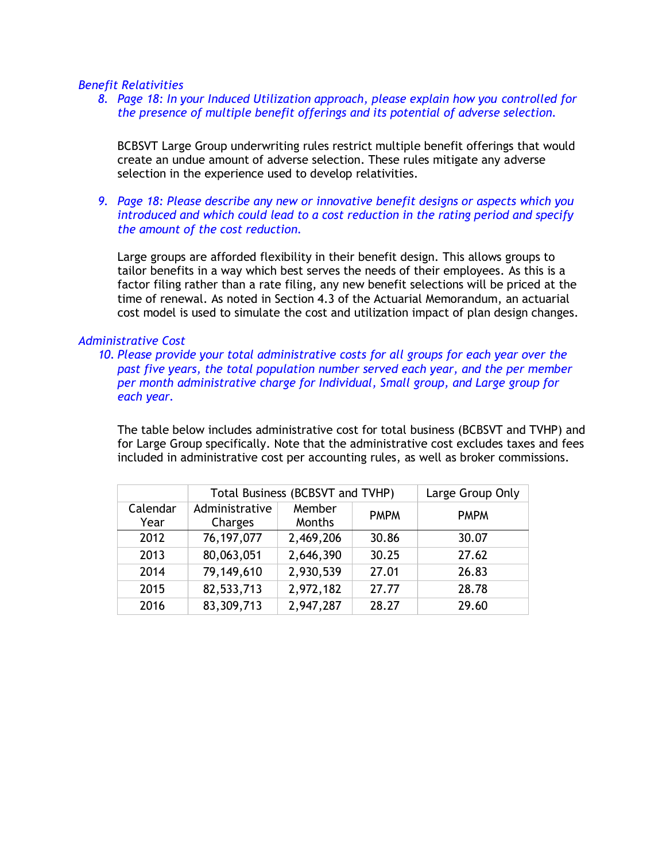#### *Benefit Relativities*

*8. Page 18: In your Induced Utilization approach, please explain how you controlled for the presence of multiple benefit offerings and its potential of adverse selection.*

BCBSVT Large Group underwriting rules restrict multiple benefit offerings that would create an undue amount of adverse selection. These rules mitigate any adverse selection in the experience used to develop relativities.

*9. Page 18: Please describe any new or innovative benefit designs or aspects which you introduced and which could lead to a cost reduction in the rating period and specify the amount of the cost reduction.*

Large groups are afforded flexibility in their benefit design. This allows groups to tailor benefits in a way which best serves the needs of their employees. As this is a factor filing rather than a rate filing, any new benefit selections will be priced at the time of renewal. As noted in Section 4.3 of the Actuarial Memorandum, an actuarial cost model is used to simulate the cost and utilization impact of plan design changes.

#### *Administrative Cost*

*10. Please provide your total administrative costs for all groups for each year over the past five years, the total population number served each year, and the per member per month administrative charge for Individual, Small group, and Large group for each year.*

The table below includes administrative cost for total business (BCBSVT and TVHP) and for Large Group specifically. Note that the administrative cost excludes taxes and fees included in administrative cost per accounting rules, as well as broker commissions.

|                  | Total Business (BCBSVT and TVHP) | Large Group Only |             |             |
|------------------|----------------------------------|------------------|-------------|-------------|
| Calendar<br>Year | Administrative<br>Charges        | Member<br>Months | <b>PMPM</b> | <b>PMPM</b> |
| 2012             | 76, 197, 077                     | 2,469,206        | 30.86       | 30.07       |
| 2013             | 80,063,051                       | 2,646,390        | 30.25       | 27.62       |
| 2014             | 79,149,610                       | 2,930,539        | 27.01       | 26.83       |
| 2015             | 82,533,713                       | 2,972,182        | 27.77       | 28.78       |
| 2016             | 83,309,713                       | 2,947,287        | 28.27       | 29.60       |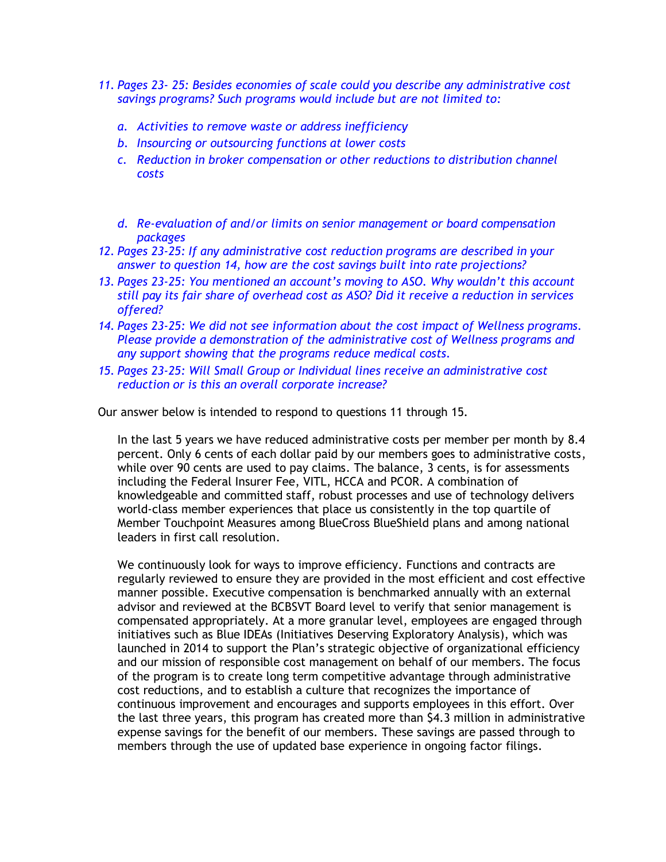- *11. Pages 23- 25: Besides economies of scale could you describe any administrative cost savings programs? Such programs would include but are not limited to:* 
	- *a. Activities to remove waste or address inefficiency*
	- *b. Insourcing or outsourcing functions at lower costs*
	- *c. Reduction in broker compensation or other reductions to distribution channel costs*
	- *d. Re-evaluation of and/or limits on senior management or board compensation packages*
- *12. Pages 23-25: If any administrative cost reduction programs are described in your answer to question 14, how are the cost savings built into rate projections?*
- *13. Pages 23-25: You mentioned an account's moving to ASO. Why wouldn't this account still pay its fair share of overhead cost as ASO? Did it receive a reduction in services offered?*
- *14. Pages 23-25: We did not see information about the cost impact of Wellness programs. Please provide a demonstration of the administrative cost of Wellness programs and any support showing that the programs reduce medical costs.*
- *15. Pages 23-25: Will Small Group or Individual lines receive an administrative cost reduction or is this an overall corporate increase?*

Our answer below is intended to respond to questions 11 through 15.

In the last 5 years we have reduced administrative costs per member per month by 8.4 percent. Only 6 cents of each dollar paid by our members goes to administrative costs, while over 90 cents are used to pay claims. The balance, 3 cents, is for assessments including the Federal Insurer Fee, VITL, HCCA and PCOR. A combination of knowledgeable and committed staff, robust processes and use of technology delivers world-class member experiences that place us consistently in the top quartile of Member Touchpoint Measures among BlueCross BlueShield plans and among national leaders in first call resolution.

We continuously look for ways to improve efficiency. Functions and contracts are regularly reviewed to ensure they are provided in the most efficient and cost effective manner possible. Executive compensation is benchmarked annually with an external advisor and reviewed at the BCBSVT Board level to verify that senior management is compensated appropriately. At a more granular level, employees are engaged through initiatives such as Blue IDEAs (Initiatives Deserving Exploratory Analysis), which was launched in 2014 to support the Plan's strategic objective of organizational efficiency and our mission of responsible cost management on behalf of our members. The focus of the program is to create long term competitive advantage through administrative cost reductions, and to establish a culture that recognizes the importance of continuous improvement and encourages and supports employees in this effort. Over the last three years, this program has created more than \$4.3 million in administrative expense savings for the benefit of our members. These savings are passed through to members through the use of updated base experience in ongoing factor filings.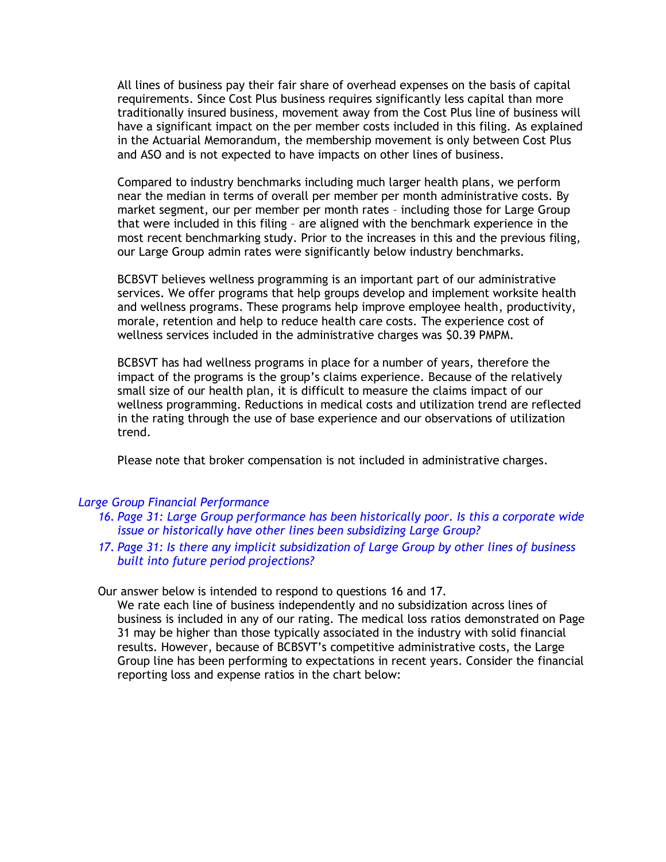All lines of business pay their fair share of overhead expenses on the basis of capital requirements. Since Cost Plus business requires significantly less capital than more traditionally insured business, movement away from the Cost Plus line of business will have a significant impact on the per member costs included in this filing. As explained in the Actuarial Memorandum, the membership movement is only between Cost Plus and ASO and is not expected to have impacts on other lines of business.

Compared to industry benchmarks including much larger health plans, we perform near the median in terms of overall per member per month administrative costs. By market segment, our per member per month rates – including those for Large Group that were included in this filing – are aligned with the benchmark experience in the most recent benchmarking study. Prior to the increases in this and the previous filing, our Large Group admin rates were significantly below industry benchmarks.

BCBSVT believes wellness programming is an important part of our administrative services. We offer programs that help groups develop and implement worksite health and wellness programs. These programs help improve employee health, productivity, morale, retention and help to reduce health care costs. The experience cost of wellness services included in the administrative charges was \$0.39 PMPM.

BCBSVT has had wellness programs in place for a number of years, therefore the impact of the programs is the group's claims experience. Because of the relatively small size of our health plan, it is difficult to measure the claims impact of our wellness programming. Reductions in medical costs and utilization trend are reflected in the rating through the use of base experience and our observations of utilization trend.

Please note that broker compensation is not included in administrative charges.

#### *Large Group Financial Performance*

- *16. Page 31: Large Group performance has been historically poor. Is this a corporate wide issue or historically have other lines been subsidizing Large Group?*
- *17. Page 31: Is there any implicit subsidization of Large Group by other lines of business built into future period projections?*

#### Our answer below is intended to respond to questions 16 and 17.

We rate each line of business independently and no subsidization across lines of business is included in any of our rating. The medical loss ratios demonstrated on Page 31 may be higher than those typically associated in the industry with solid financial results. However, because of BCBSVT's competitive administrative costs, the Large Group line has been performing to expectations in recent years. Consider the financial reporting loss and expense ratios in the chart below: